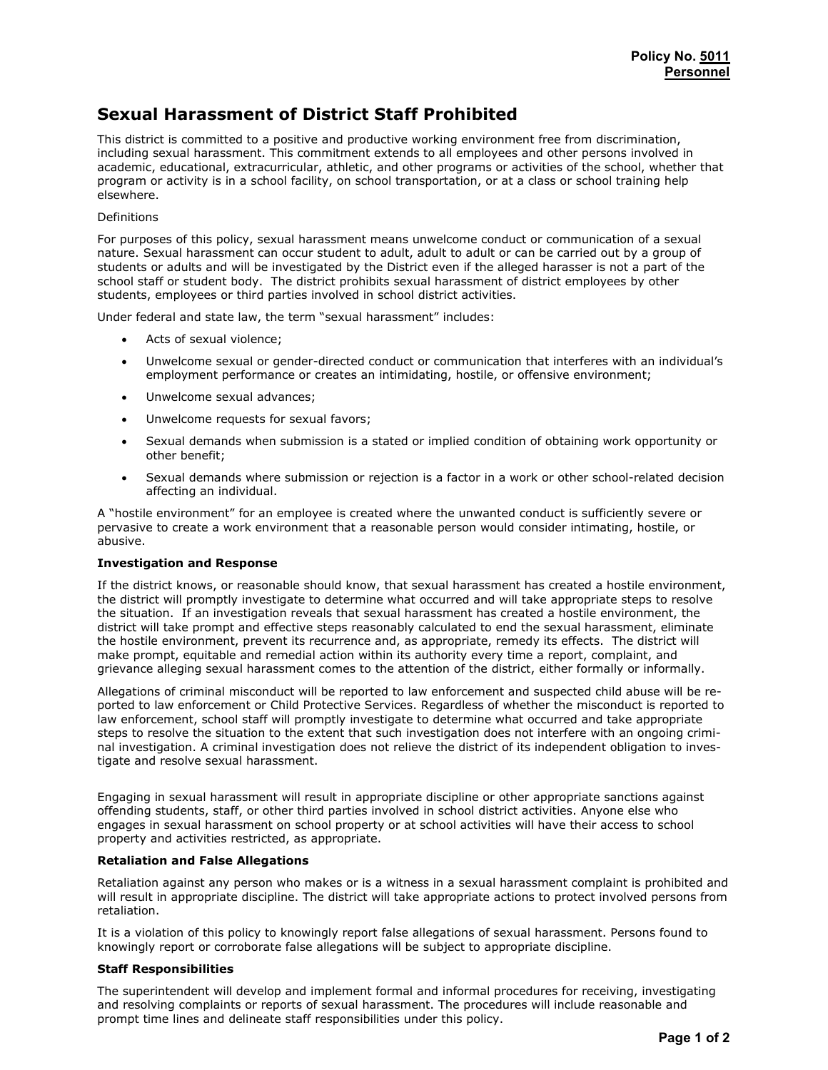# Sexual Harassment of District Staff Prohibited

This district is committed to a positive and productive working environment free from discrimination, including sexual harassment. This commitment extends to all employees and other persons involved in academic, educational, extracurricular, athletic, and other programs or activities of the school, whether that program or activity is in a school facility, on school transportation, or at a class or school training help elsewhere.

## Definitions

For purposes of this policy, sexual harassment means unwelcome conduct or communication of a sexual nature. Sexual harassment can occur student to adult, adult to adult or can be carried out by a group of students or adults and will be investigated by the District even if the alleged harasser is not a part of the school staff or student body. The district prohibits sexual harassment of district employees by other students, employees or third parties involved in school district activities.

Under federal and state law, the term "sexual harassment" includes:

- Acts of sexual violence:
- Unwelcome sexual or gender-directed conduct or communication that interferes with an individual's employment performance or creates an intimidating, hostile, or offensive environment;
- Unwelcome sexual advances;
- Unwelcome requests for sexual favors;
- Sexual demands when submission is a stated or implied condition of obtaining work opportunity or other benefit;
- Sexual demands where submission or rejection is a factor in a work or other school-related decision affecting an individual.

A "hostile environment" for an employee is created where the unwanted conduct is sufficiently severe or pervasive to create a work environment that a reasonable person would consider intimating, hostile, or abusive.

#### Investigation and Response

If the district knows, or reasonable should know, that sexual harassment has created a hostile environment, the district will promptly investigate to determine what occurred and will take appropriate steps to resolve the situation. If an investigation reveals that sexual harassment has created a hostile environment, the district will take prompt and effective steps reasonably calculated to end the sexual harassment, eliminate the hostile environment, prevent its recurrence and, as appropriate, remedy its effects. The district will make prompt, equitable and remedial action within its authority every time a report, complaint, and grievance alleging sexual harassment comes to the attention of the district, either formally or informally.

Allegations of criminal misconduct will be reported to law enforcement and suspected child abuse will be reported to law enforcement or Child Protective Services. Regardless of whether the misconduct is reported to law enforcement, school staff will promptly investigate to determine what occurred and take appropriate steps to resolve the situation to the extent that such investigation does not interfere with an ongoing criminal investigation. A criminal investigation does not relieve the district of its independent obligation to investigate and resolve sexual harassment.

Engaging in sexual harassment will result in appropriate discipline or other appropriate sanctions against offending students, staff, or other third parties involved in school district activities. Anyone else who engages in sexual harassment on school property or at school activities will have their access to school property and activities restricted, as appropriate.

# Retaliation and False Allegations

Retaliation against any person who makes or is a witness in a sexual harassment complaint is prohibited and will result in appropriate discipline. The district will take appropriate actions to protect involved persons from retaliation.

It is a violation of this policy to knowingly report false allegations of sexual harassment. Persons found to knowingly report or corroborate false allegations will be subject to appropriate discipline.

### Staff Responsibilities

The superintendent will develop and implement formal and informal procedures for receiving, investigating and resolving complaints or reports of sexual harassment. The procedures will include reasonable and prompt time lines and delineate staff responsibilities under this policy.